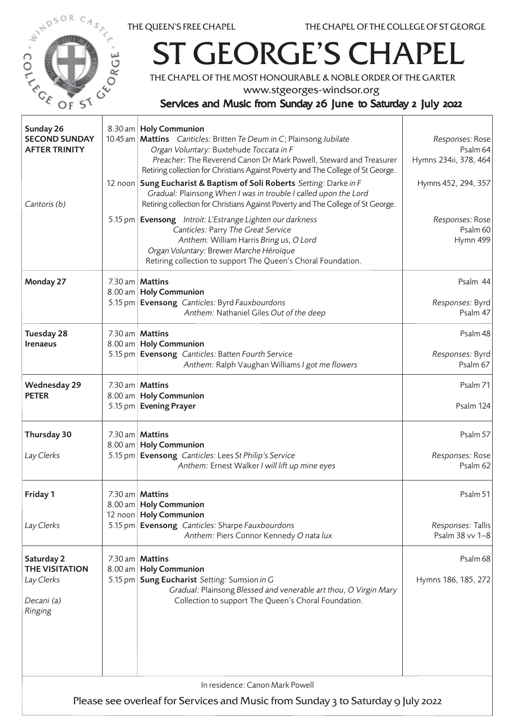



## T GEORGE'S CHAPEL

THE CHAPEL OF THE MOST HONOURABLE & NOBLE ORDER OF THE GARTER

www.stgeorges-windsor.org

## Services and Music from Sunday 26 June to Saturday 2 July 2022

| Sunday 26<br><b>SECOND SUNDAY</b><br><b>AFTER TRINITY</b>                                                           |  | 8.30 am   Holy Communion<br>10.45 am   Mattins Canticles: Britten Te Deum in C; Plainsong Jubilate<br>Organ Voluntary: Buxtehude Toccata in F<br>Preacher: The Reverend Canon Dr Mark Powell, Steward and Treasurer<br>Retiring collection for Christians Against Poverty and The College of St George. | Responses: Rose<br>Psalm 64<br>Hymns 234ii, 378, 464 |  |  |
|---------------------------------------------------------------------------------------------------------------------|--|---------------------------------------------------------------------------------------------------------------------------------------------------------------------------------------------------------------------------------------------------------------------------------------------------------|------------------------------------------------------|--|--|
| Cantoris (b)                                                                                                        |  | 12 noon   Sung Eucharist & Baptism of Soli Roberts Setting: Darke in F<br>Gradual: Plainsong When I was in trouble I called upon the Lord<br>Retiring collection for Christians Against Poverty and The College of St George.                                                                           | Hymns 452, 294, 357                                  |  |  |
|                                                                                                                     |  | 5.15 pm   Evensong Introit: L'Estrange Lighten our darkness<br>Canticles: Parry The Great Service<br>Anthem: William Harris Bring us, O Lord<br>Organ Voluntary: Brewer Marche Héroïque<br>Retiring collection to support The Queen's Choral Foundation.                                                | Responses: Rose<br>Psalm 60<br>Hymn 499              |  |  |
| Monday 27                                                                                                           |  | 7.30 am   Mattins<br>8.00 am   Holy Communion<br>5.15 pm Evensong Canticles: Byrd Fauxbourdons<br>Anthem: Nathaniel Giles Out of the deep                                                                                                                                                               | Psalm 44<br>Responses: Byrd<br>Psalm 47              |  |  |
| Tuesday 28<br><b>Irenaeus</b>                                                                                       |  | 7.30 am   Mattins<br>8.00 am   Holy Communion<br>5.15 pm Evensong Canticles: Batten Fourth Service<br>Anthem: Ralph Vaughan Williams I got me flowers                                                                                                                                                   | Psalm 48<br>Responses: Byrd<br>Psalm 67              |  |  |
| <b>Wednesday 29</b><br><b>PETER</b>                                                                                 |  | 7.30 am $M$ attins<br>8.00 am   Holy Communion<br>5.15 pm   Evening Prayer                                                                                                                                                                                                                              | Psalm 71<br>Psalm 124                                |  |  |
| Thursday 30<br>Lay Clerks                                                                                           |  | 7.30 am   Mattins<br>8.00 am   Holy Communion<br>5.15 pm   Evensong Canticles: Lees St Philip's Service<br>Anthem: Ernest Walker I will lift up mine eyes                                                                                                                                               | Psalm 57<br>Responses: Rose<br>Psalm 62              |  |  |
| Friday 1                                                                                                            |  | 7.30 am Mattins<br>8.00 am   Holy Communion<br>12 noon   Holy Communion                                                                                                                                                                                                                                 | Psalm 51                                             |  |  |
| Lay Clerks                                                                                                          |  | 5.15 pm Evensong Canticles: Sharpe Fauxbourdons<br>Anthem: Piers Connor Kennedy O nata lux                                                                                                                                                                                                              | Responses: Tallis<br>Psalm 38 vv 1-8                 |  |  |
| Saturday 2<br><b>THE VISITATION</b><br>Lay Clerks<br>Decani (a)<br>Ringing                                          |  | 7.30 am Mattins<br>8.00 am   Holy Communion<br>5.15 pm Sung Eucharist Setting: Sumsion in G<br>Gradual: Plainsong Blessed and venerable art thou, O Virgin Mary<br>Collection to support The Queen's Choral Foundation.                                                                                 | Psalm 68<br>Hymns 186, 185, 272                      |  |  |
| In residence: Canon Mark Powell<br>Please see overleaf for Services and Music from Sunday 3 to Saturday 9 July 2022 |  |                                                                                                                                                                                                                                                                                                         |                                                      |  |  |